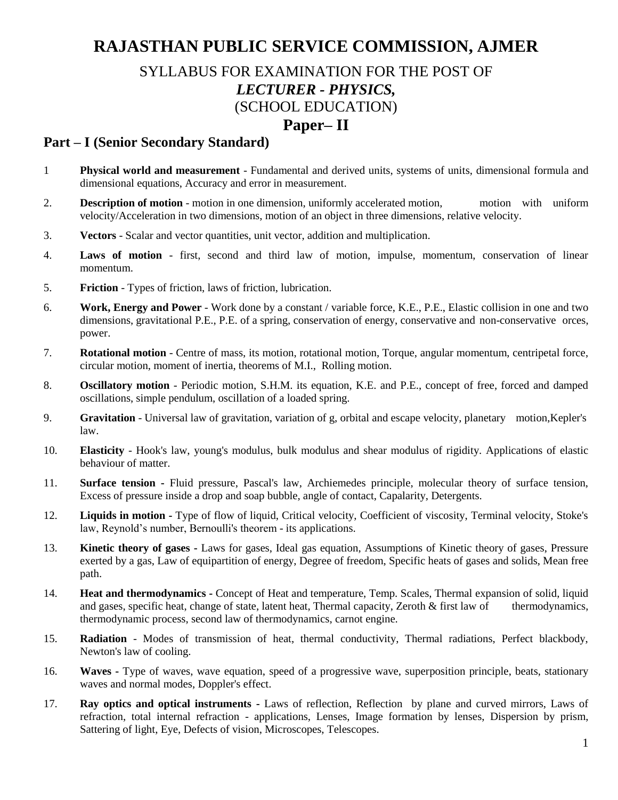# **RAJASTHAN PUBLIC SERVICE COMMISSION, AJMER**

## SYLLABUS FOR EXAMINATION FOR THE POST OF *LECTURER - PHYSICS,*  (SCHOOL EDUCATION)

### **Paper– II**

#### **Part – I (Senior Secondary Standard)**

- 1 **Physical world and measurement** Fundamental and derived units, systems of units, dimensional formula and dimensional equations, Accuracy and error in measurement.
- 2. **Description of motion** motion in one dimension, uniformly accelerated motion, motion with uniform velocity/Acceleration in two dimensions, motion of an object in three dimensions, relative velocity.
- 3. **Vectors** Scalar and vector quantities, unit vector, addition and multiplication.
- 4. **Laws of motion** first, second and third law of motion, impulse, momentum, conservation of linear momentum.
- 5. **Friction** Types of friction, laws of friction, lubrication.
- 6. **Work, Energy and Power** Work done by a constant / variable force, K.E., P.E., Elastic collision in one and two dimensions, gravitational P.E., P.E. of a spring, conservation of energy, conservative and non-conservative orces, power.
- 7. **Rotational motion** Centre of mass, its motion, rotational motion, Torque, angular momentum, centripetal force, circular motion, moment of inertia, theorems of M.I., Rolling motion.
- 8. **Oscillatory motion** Periodic motion, S.H.M. its equation, K.E. and P.E., concept of free, forced and damped oscillations, simple pendulum, oscillation of a loaded spring.
- 9. **Gravitation** Universal law of gravitation, variation of g, orbital and escape velocity, planetary motion,Kepler's law.
- 10. **Elasticity** Hook's law, young's modulus, bulk modulus and shear modulus of rigidity. Applications of elastic behaviour of matter.
- 11. **Surface tension -** Fluid pressure, Pascal's law, Archiemedes principle, molecular theory of surface tension, Excess of pressure inside a drop and soap bubble, angle of contact, Capalarity, Detergents.
- 12. **Liquids in motion -** Type of flow of liquid, Critical velocity, Coefficient of viscosity, Terminal velocity, Stoke's law, Reynold's number, Bernoulli's theorem - its applications.
- 13. **Kinetic theory of gases -** Laws for gases, Ideal gas equation, Assumptions of Kinetic theory of gases, Pressure exerted by a gas, Law of equipartition of energy, Degree of freedom, Specific heats of gases and solids, Mean free path.
- 14. **Heat and thermodynamics -** Concept of Heat and temperature, Temp. Scales, Thermal expansion of solid, liquid and gases, specific heat, change of state, latent heat, Thermal capacity, Zeroth & first law of thermodynamics, thermodynamic process, second law of thermodynamics, carnot engine.
- 15. **Radiation** Modes of transmission of heat, thermal conductivity, Thermal radiations, Perfect blackbody, Newton's law of cooling.
- 16. **Waves -** Type of waves, wave equation, speed of a progressive wave, superposition principle, beats, stationary waves and normal modes, Doppler's effect.
- 17. **Ray optics and optical instruments -** Laws of reflection, Reflection by plane and curved mirrors, Laws of refraction, total internal refraction - applications, Lenses, Image formation by lenses, Dispersion by prism, Sattering of light, Eye, Defects of vision, Microscopes, Telescopes.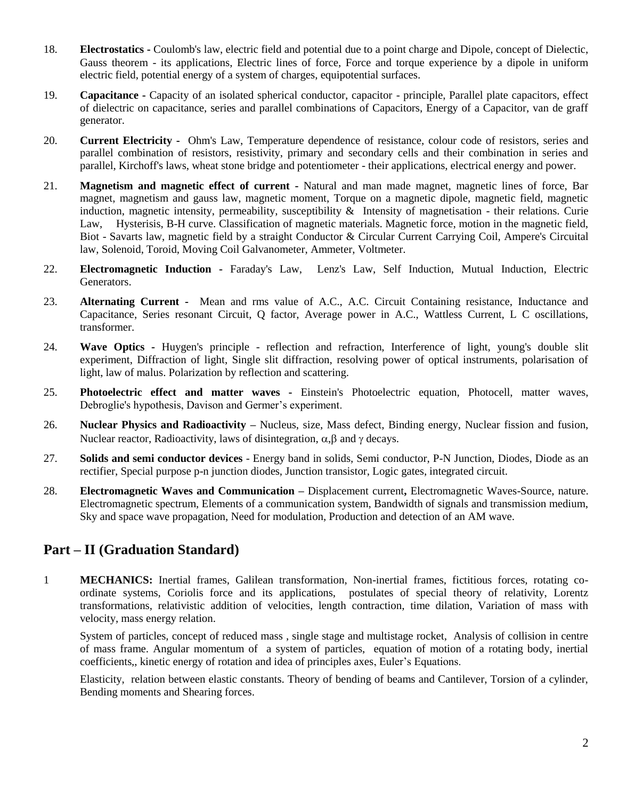- 18. **Electrostatics -** Coulomb's law, electric field and potential due to a point charge and Dipole, concept of Dielectic, Gauss theorem - its applications, Electric lines of force, Force and torque experience by a dipole in uniform electric field, potential energy of a system of charges, equipotential surfaces.
- 19. **Capacitance -** Capacity of an isolated spherical conductor, capacitor principle, Parallel plate capacitors, effect of dielectric on capacitance, series and parallel combinations of Capacitors, Energy of a Capacitor, van de graff generator.
- 20. **Current Electricity -** Ohm's Law, Temperature dependence of resistance, colour code of resistors, series and parallel combination of resistors, resistivity, primary and secondary cells and their combination in series and parallel, Kirchoff's laws, wheat stone bridge and potentiometer - their applications, electrical energy and power.
- 21. **Magnetism and magnetic effect of current -** Natural and man made magnet, magnetic lines of force, Bar magnet, magnetism and gauss law, magnetic moment, Torque on a magnetic dipole, magnetic field, magnetic induction, magnetic intensity, permeability, susceptibility & Intensity of magnetisation - their relations. Curie Law, Hysterisis, B-H curve. Classification of magnetic materials. Magnetic force, motion in the magnetic field, Biot - Savarts law, magnetic field by a straight Conductor & Circular Current Carrying Coil, Ampere's Circuital law, Solenoid, Toroid, Moving Coil Galvanometer, Ammeter, Voltmeter.
- 22. **Electromagnetic Induction -** Faraday's Law, Lenz's Law, Self Induction, Mutual Induction, Electric Generators.
- 23. **Alternating Current -** Mean and rms value of A.C., A.C. Circuit Containing resistance, Inductance and Capacitance, Series resonant Circuit, Q factor, Average power in A.C., Wattless Current, L C oscillations, transformer.
- 24. **Wave Optics -** Huygen's principle reflection and refraction, Interference of light, young's double slit experiment, Diffraction of light, Single slit diffraction, resolving power of optical instruments, polarisation of light, law of malus. Polarization by reflection and scattering.
- 25. **Photoelectric effect and matter waves -** Einstein's Photoelectric equation, Photocell, matter waves, Debroglie's hypothesis, Davison and Germer's experiment.
- 26. **Nuclear Physics and Radioactivity –** Nucleus, size, Mass defect, Binding energy, Nuclear fission and fusion, Nuclear reactor, Radioactivity, laws of disintegration,  $\alpha$ ,  $\beta$  and  $\gamma$  decays.
- 27. **Solids and semi conductor devices** Energy band in solids, Semi conductor, P-N Junction, Diodes, Diode as an rectifier, Special purpose p-n junction diodes, Junction transistor, Logic gates, integrated circuit.
- 28. **Electromagnetic Waves and Communication –** Displacement current**,** Electromagnetic Waves-Source, nature. Electromagnetic spectrum, Elements of a communication system, Bandwidth of signals and transmission medium, Sky and space wave propagation, Need for modulation, Production and detection of an AM wave.

#### **Part – II (Graduation Standard)**

1 **MECHANICS:** Inertial frames, Galilean transformation, Non-inertial frames, fictitious forces, rotating coordinate systems, Coriolis force and its applications, postulates of special theory of relativity, Lorentz transformations, relativistic addition of velocities, length contraction, time dilation, Variation of mass with velocity, mass energy relation.

System of particles, concept of reduced mass , single stage and multistage rocket, Analysis of collision in centre of mass frame. Angular momentum of a system of particles, equation of motion of a rotating body, inertial coefficients,, kinetic energy of rotation and idea of principles axes, Euler's Equations.

Elasticity, relation between elastic constants. Theory of bending of beams and Cantilever, Torsion of a cylinder, Bending moments and Shearing forces.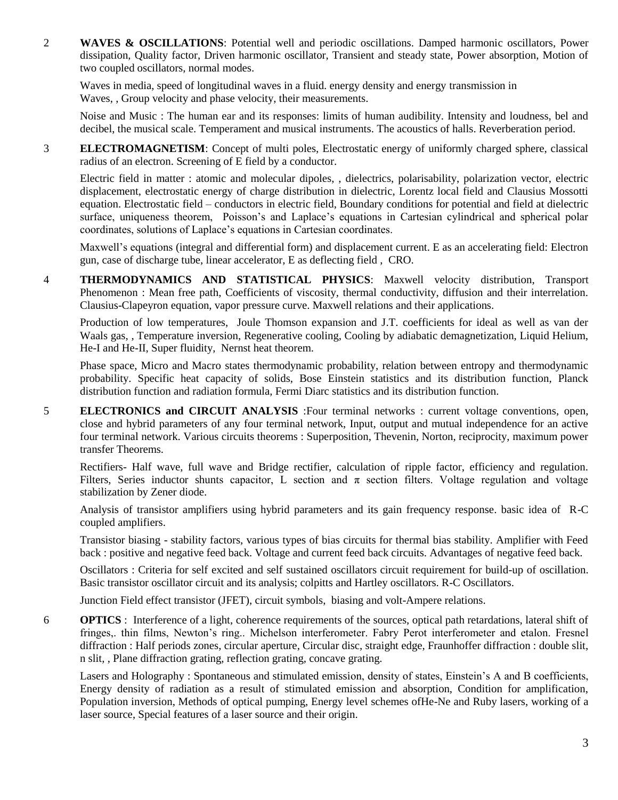2 **WAVES & OSCILLATIONS**: Potential well and periodic oscillations. Damped harmonic oscillators, Power dissipation, Quality factor, Driven harmonic oscillator, Transient and steady state, Power absorption, Motion of two coupled oscillators, normal modes.

Waves in media, speed of longitudinal waves in a fluid. energy density and energy transmission in Waves, , Group velocity and phase velocity, their measurements.

Noise and Music : The human ear and its responses: limits of human audibility. Intensity and loudness, bel and decibel, the musical scale. Temperament and musical instruments. The acoustics of halls. Reverberation period.

3 **ELECTROMAGNETISM**: Concept of multi poles, Electrostatic energy of uniformly charged sphere, classical radius of an electron. Screening of E field by a conductor.

Electric field in matter : atomic and molecular dipoles, , dielectrics, polarisability, polarization vector, electric displacement, electrostatic energy of charge distribution in dielectric, Lorentz local field and Clausius Mossotti equation. Electrostatic field – conductors in electric field, Boundary conditions for potential and field at dielectric surface, uniqueness theorem, Poisson's and Laplace's equations in Cartesian cylindrical and spherical polar coordinates, solutions of Laplace's equations in Cartesian coordinates.

Maxwell's equations (integral and differential form) and displacement current. E as an accelerating field: Electron gun, case of discharge tube, linear accelerator, E as deflecting field , CRO.

4 **THERMODYNAMICS AND STATISTICAL PHYSICS**: Maxwell velocity distribution, Transport Phenomenon : Mean free path, Coefficients of viscosity, thermal conductivity, diffusion and their interrelation. Clausius-Clapeyron equation, vapor pressure curve. Maxwell relations and their applications.

Production of low temperatures, Joule Thomson expansion and J.T. coefficients for ideal as well as van der Waals gas, , Temperature inversion, Regenerative cooling, Cooling by adiabatic demagnetization, Liquid Helium, He-I and He-II, Super fluidity, Nernst heat theorem.

Phase space, Micro and Macro states thermodynamic probability, relation between entropy and thermodynamic probability. Specific heat capacity of solids, Bose Einstein statistics and its distribution function, Planck distribution function and radiation formula, Fermi Diarc statistics and its distribution function.

5 **ELECTRONICS and CIRCUIT ANALYSIS** :Four terminal networks : current voltage conventions, open, close and hybrid parameters of any four terminal network, Input, output and mutual independence for an active four terminal network. Various circuits theorems : Superposition, Thevenin, Norton, reciprocity, maximum power transfer Theorems.

Rectifiers- Half wave, full wave and Bridge rectifier, calculation of ripple factor, efficiency and regulation. Filters, Series inductor shunts capacitor, L section and  $\pi$  section filters. Voltage regulation and voltage stabilization by Zener diode.

Analysis of transistor amplifiers using hybrid parameters and its gain frequency response. basic idea of R-C coupled amplifiers.

Transistor biasing - stability factors, various types of bias circuits for thermal bias stability. Amplifier with Feed back : positive and negative feed back. Voltage and current feed back circuits. Advantages of negative feed back.

Oscillators : Criteria for self excited and self sustained oscillators circuit requirement for build-up of oscillation. Basic transistor oscillator circuit and its analysis; colpitts and Hartley oscillators. R-C Oscillators.

Junction Field effect transistor (JFET), circuit symbols, biasing and volt-Ampere relations.

6 **OPTICS** : Interference of a light, coherence requirements of the sources, optical path retardations, lateral shift of fringes,. thin films, Newton's ring.. Michelson interferometer. Fabry Perot interferometer and etalon. Fresnel diffraction : Half periods zones, circular aperture, Circular disc, straight edge, Fraunhoffer diffraction : double slit, n slit, , Plane diffraction grating, reflection grating, concave grating.

Lasers and Holography : Spontaneous and stimulated emission, density of states, Einstein's A and B coefficients, Energy density of radiation as a result of stimulated emission and absorption, Condition for amplification, Population inversion, Methods of optical pumping, Energy level schemes ofHe-Ne and Ruby lasers, working of a laser source, Special features of a laser source and their origin.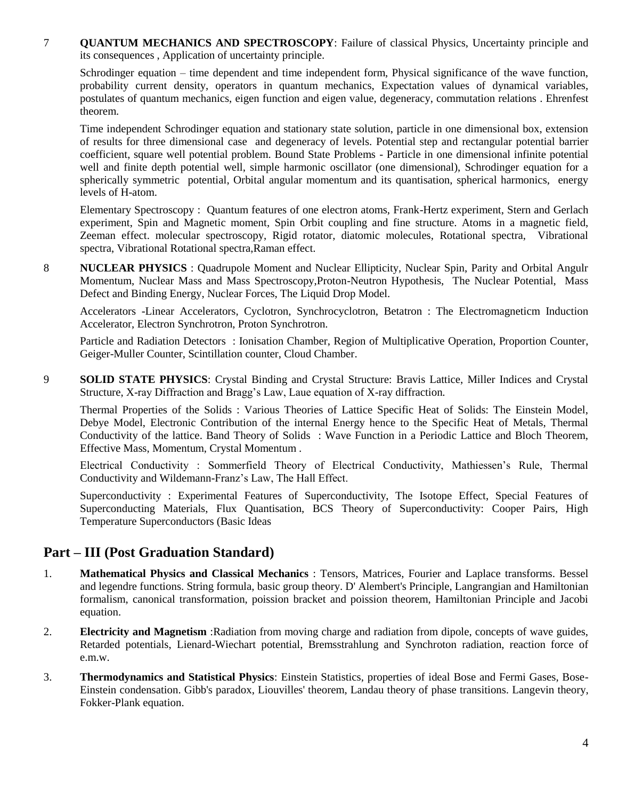7 **QUANTUM MECHANICS AND SPECTROSCOPY**: Failure of classical Physics, Uncertainty principle and its consequences , Application of uncertainty principle.

Schrodinger equation – time dependent and time independent form, Physical significance of the wave function, probability current density, operators in quantum mechanics, Expectation values of dynamical variables, postulates of quantum mechanics, eigen function and eigen value, degeneracy, commutation relations . Ehrenfest theorem.

Time independent Schrodinger equation and stationary state solution, particle in one dimensional box, extension of results for three dimensional case and degeneracy of levels. Potential step and rectangular potential barrier coefficient, square well potential problem. Bound State Problems - Particle in one dimensional infinite potential well and finite depth potential well, simple harmonic oscillator (one dimensional), Schrodinger equation for a spherically symmetric potential, Orbital angular momentum and its quantisation, spherical harmonics, energy levels of H-atom.

Elementary Spectroscopy : Quantum features of one electron atoms, Frank-Hertz experiment, Stern and Gerlach experiment, Spin and Magnetic moment, Spin Orbit coupling and fine structure. Atoms in a magnetic field, Zeeman effect. molecular spectroscopy, Rigid rotator, diatomic molecules, Rotational spectra, Vibrational spectra, Vibrational Rotational spectra,Raman effect.

8 **NUCLEAR PHYSICS** : Quadrupole Moment and Nuclear Ellipticity, Nuclear Spin, Parity and Orbital Angulr Momentum, Nuclear Mass and Mass Spectroscopy,Proton-Neutron Hypothesis, The Nuclear Potential, Mass Defect and Binding Energy, Nuclear Forces, The Liquid Drop Model.

Accelerators -Linear Accelerators, Cyclotron, Synchrocyclotron, Betatron : The Electromagneticm Induction Accelerator, Electron Synchrotron, Proton Synchrotron.

Particle and Radiation Detectors : Ionisation Chamber, Region of Multiplicative Operation, Proportion Counter, Geiger-Muller Counter, Scintillation counter, Cloud Chamber.

9 **SOLID STATE PHYSICS**: Crystal Binding and Crystal Structure: Bravis Lattice, Miller Indices and Crystal Structure, X-ray Diffraction and Bragg's Law, Laue equation of X-ray diffraction.

Thermal Properties of the Solids : Various Theories of Lattice Specific Heat of Solids: The Einstein Model, Debye Model, Electronic Contribution of the internal Energy hence to the Specific Heat of Metals, Thermal Conductivity of the lattice. Band Theory of Solids : Wave Function in a Periodic Lattice and Bloch Theorem, Effective Mass, Momentum, Crystal Momentum .

Electrical Conductivity : Sommerfield Theory of Electrical Conductivity, Mathiessen's Rule, Thermal Conductivity and Wildemann-Franz's Law, The Hall Effect.

Superconductivity : Experimental Features of Superconductivity, The Isotope Effect, Special Features of Superconducting Materials, Flux Quantisation, BCS Theory of Superconductivity: Cooper Pairs, High Temperature Superconductors (Basic Ideas

#### **Part – III (Post Graduation Standard)**

- 1. **Mathematical Physics and Classical Mechanics** : Tensors, Matrices, Fourier and Laplace transforms. Bessel and legendre functions. String formula, basic group theory. D' Alembert's Principle, Langrangian and Hamiltonian formalism, canonical transformation, poission bracket and poission theorem, Hamiltonian Principle and Jacobi equation.
- 2. **Electricity and Magnetism** :Radiation from moving charge and radiation from dipole, concepts of wave guides, Retarded potentials, Lienard-Wiechart potential, Bremsstrahlung and Synchroton radiation, reaction force of e.m.w.
- 3. **Thermodynamics and Statistical Physics**: Einstein Statistics, properties of ideal Bose and Fermi Gases, Bose-Einstein condensation. Gibb's paradox, Liouvilles' theorem, Landau theory of phase transitions. Langevin theory, Fokker-Plank equation.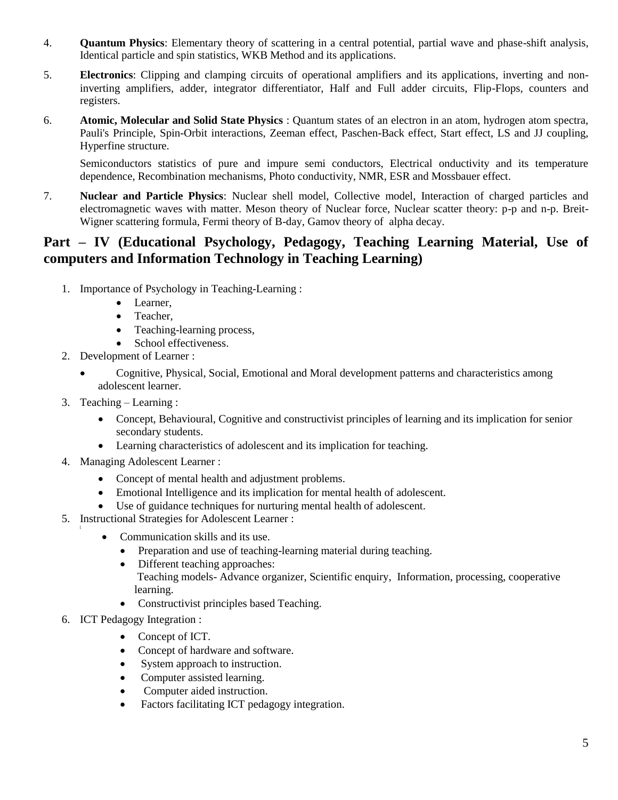- 4. **Quantum Physics**: Elementary theory of scattering in a central potential, partial wave and phase-shift analysis, Identical particle and spin statistics, WKB Method and its applications.
- 5. **Electronics**: Clipping and clamping circuits of operational amplifiers and its applications, inverting and noninverting amplifiers, adder, integrator differentiator, Half and Full adder circuits, Flip-Flops, counters and registers.
- 6. **Atomic, Molecular and Solid State Physics** : Quantum states of an electron in an atom, hydrogen atom spectra, Pauli's Principle, Spin-Orbit interactions, Zeeman effect, Paschen-Back effect, Start effect, LS and JJ coupling, Hyperfine structure.

Semiconductors statistics of pure and impure semi conductors, Electrical onductivity and its temperature dependence, Recombination mechanisms, Photo conductivity, NMR, ESR and Mossbauer effect.

7. **Nuclear and Particle Physics**: Nuclear shell model, Collective model, Interaction of charged particles and electromagnetic waves with matter. Meson theory of Nuclear force, Nuclear scatter theory: p-p and n-p. Breit-Wigner scattering formula, Fermi theory of B-day, Gamov theory of alpha decay.

### **Part – IV (Educational Psychology, Pedagogy, Teaching Learning Material, Use of computers and Information Technology in Teaching Learning)**

- 1. Importance of Psychology in Teaching-Learning :
	- Learner,
	- Teacher,
	- Teaching-learning process,
	- School effectiveness.
- 2. Development of Learner :
	- Cognitive, Physical, Social, Emotional and Moral development patterns and characteristics among adolescent learner.
- 3. Teaching Learning :
	- Concept, Behavioural, Cognitive and constructivist principles of learning and its implication for senior secondary students.
	- Learning characteristics of adolescent and its implication for teaching.
- 4. Managing Adolescent Learner :
	- Concept of mental health and adjustment problems.
	- Emotional Intelligence and its implication for mental health of adolescent.
	- Use of guidance techniques for nurturing mental health of adolescent.
- 5. Instructional Strategies for Adolescent Learner : [
	- Communication skills and its use.
		- Preparation and use of teaching-learning material during teaching.
		- Different teaching approaches: Teaching models- Advance organizer, Scientific enquiry, Information, processing, cooperative learning.
		- Constructivist principles based Teaching.
- 6. ICT Pedagogy Integration :
	- Concept of ICT.
	- Concept of hardware and software.
	- System approach to instruction.
	- Computer assisted learning.
	- Computer aided instruction.
	- Factors facilitating ICT pedagogy integration.